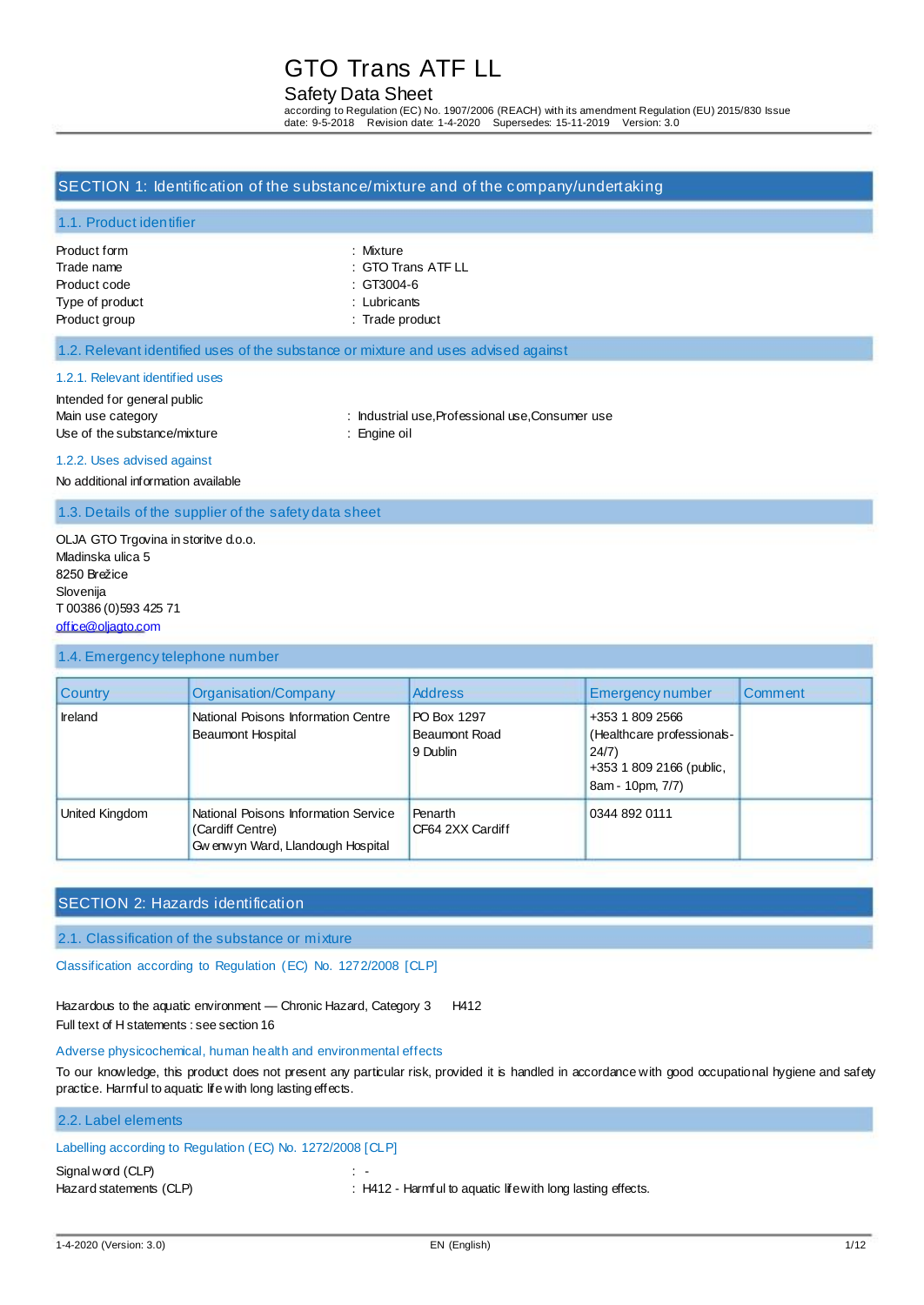### Safety Data Sheet

according to Regulation (EC) No. 1907/2006 (REACH) with its amendment Regulation (EU) 2015/830 Issue date: 9-5-2018 Revision date: 1-4-2020 Supersedes: 15-11-2019 Version: 3.0

#### SECTION 1: Identification of the substance/mixture and of the company/undertaking

#### 1.1. Product identifier

| : Mixture          |
|--------------------|
| : GTO Trans ATF LL |
| : GT3004-6         |
| : Lubricants       |
| : Trade product    |
|                    |

| : Mixture      |
|----------------|
| :GTO Trans ATF |
| : GT3004-6     |
| . Lubricante   |

#### 1.2. Relevant identified uses of the substance or mixture and uses advised against

#### 1.2.1. Relevant identified uses

Intended for general public Use of the substance/mixture : Engine oil

Main use category **industrial use, Professional use, Consumer use** : Industrial use, Professional use, Consumer use

1.2.2. Uses advised against

No additional information available

1.3. Details of the supplier of the safety data sheet

OLJA GTO Trgovina in storitve d.o.o. Mladinska ulica 5 8250 Brežice Slovenija T 00386 (0)593 425 71 [office@oljagto.com](mailto:office@oljagto.com)

#### 1.4. Emergency telephone number

| <b>Country</b> | Organisation/Company                                                                           | <b>Address</b>                                  | Emergency number                                                                                      | Comment |
|----------------|------------------------------------------------------------------------------------------------|-------------------------------------------------|-------------------------------------------------------------------------------------------------------|---------|
| <b>Ireland</b> | National Poisons Information Centre<br>Beaumont Hospital                                       | PO Box 1297<br><b>Beaumont Road</b><br>9 Dublin | +353 1 809 2566<br>(Healthcare professionals-<br>24/7<br>+353 1 809 2166 (public,<br>8am - 10pm, 7/7) |         |
| United Kingdom | National Poisons Information Service<br>(Cardiff Centre)<br>Gw enw yn Ward, Llandough Hospital | Penarth<br>CF64 2XX Cardiff                     | 0344 892 0111                                                                                         |         |

### SECTION 2: Hazards identification

2.1. Classification of the substance or mixture

Classification according to Regulation (EC) No. 1272/2008 [CLP]

Hazardous to the aquatic environment - Chronic Hazard, Category 3 H412 Full text of H statements : see section 16

#### Adverse physicochemical, human health and environmental effects

To our knowledge, this product does not present any particular risk, provided it is handled in accordance with good occupational hygiene and safety practice. Harmful to aquatic life with long lasting effects.

## 2.2. Label elements

## Labelling according to Regulation (EC) No. 1272/2008 [CLP]

Signal word (CLP)  $\qquad \qquad :$ 

Hazard statements (CLP) : H412 - Harmful to aquatic life with long lasting effects.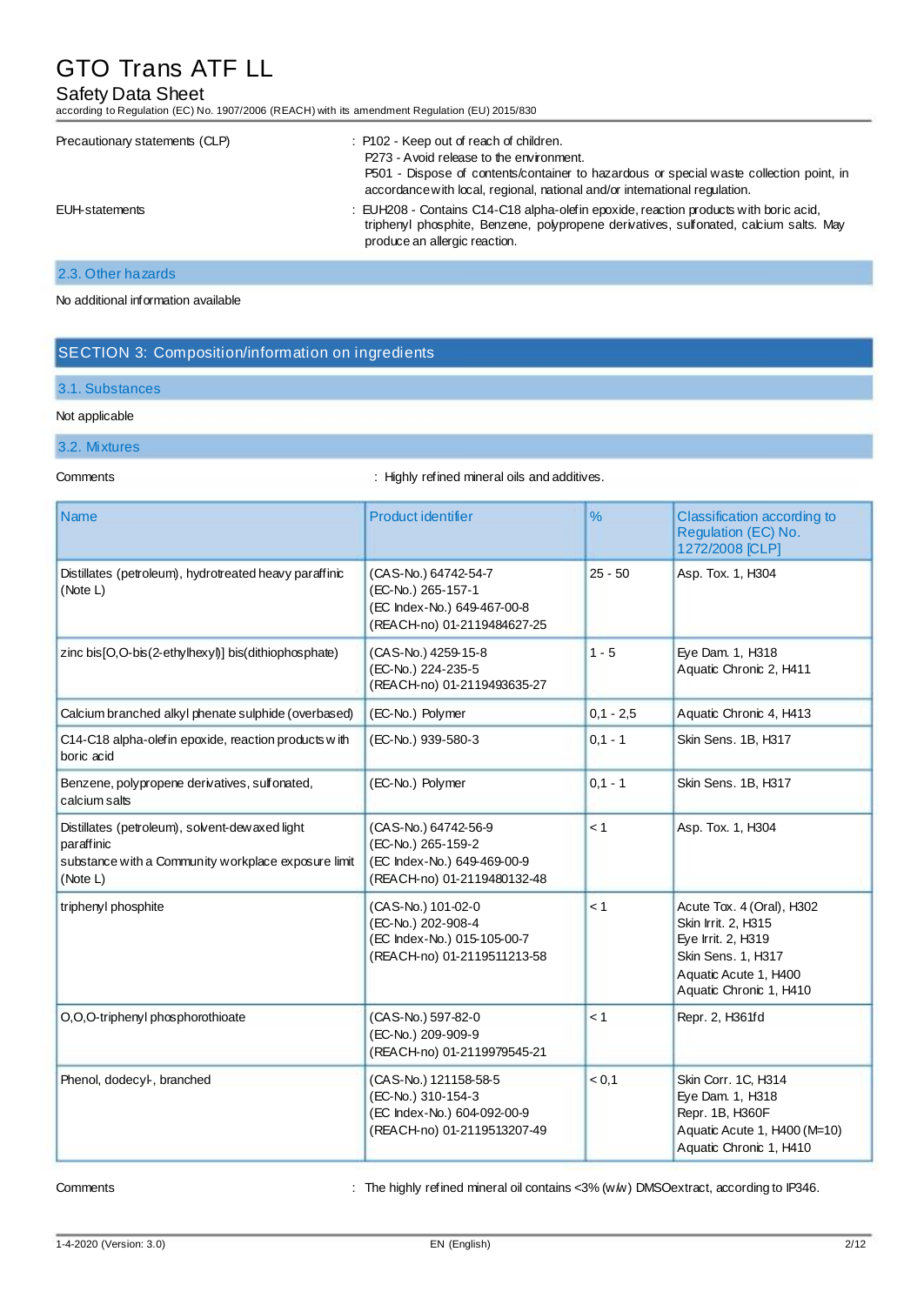## Safety Data Sheet

according to Regulation (EC) No. 1907/2006 (REACH) with its amendment Regulation (EU) 2015/830

| Precautionary statements (CLP) | : P102 - Keep out of reach of children.<br>P273 - Avoid release to the environment.<br>P501 - Dispose of contents/container to hazardous or special waste collection point, in<br>accordance with local, regional, national and/or international regulation. |
|--------------------------------|--------------------------------------------------------------------------------------------------------------------------------------------------------------------------------------------------------------------------------------------------------------|
| EUH-statements                 | : EUH208 - Contains C14-C18 alpha-olefin epoxide, reaction products with boric acid,<br>triphenyl phosphite, Benzene, polypropene derivatives, sulfonated, calcium salts. May<br>produce an allergic reaction.                                               |

### 2.3. Other hazards

#### No additional information available

## SECTION 3: Composition/information on ingredients

#### 3.1. Substances

#### Not applicable

- 3.2. Mixtures
- 

Comments **Comments** : Highly refined mineral oils and additives.

| Name                                                                                                                            | Product identifier                                                                                        | $\frac{9}{6}$ | Classification according to<br>Regulation (EC) No.<br>1272/2008 [CLP]                                                                            |
|---------------------------------------------------------------------------------------------------------------------------------|-----------------------------------------------------------------------------------------------------------|---------------|--------------------------------------------------------------------------------------------------------------------------------------------------|
| Distillates (petroleum), hydrotreated heavy paraffinic<br>(Note L)                                                              | (CAS-No.) 64742-54-7<br>(EC-No.) 265-157-1<br>(EC Index-No.) 649-467-00-8<br>(REACH-no) 01-2119484627-25  | $25 - 50$     | Asp. Tox. 1, H304                                                                                                                                |
| zinc bis[O,O-bis(2-ethylhexyl)] bis(dithiophosphate)                                                                            | (CAS-No.) 4259-15-8<br>(EC-No.) 224-235-5<br>(REACH-no) 01-2119493635-27                                  | $1 - 5$       | Eye Dam. 1, H318<br>Aquatic Chronic 2, H411                                                                                                      |
| Calcium branched alkyl phenate sulphide (overbased)                                                                             | (EC-No.) Polymer                                                                                          | $0,1 - 2,5$   | Aquatic Chronic 4, H413                                                                                                                          |
| C14-C18 alpha-olefin epoxide, reaction products with<br>boric acid                                                              | (EC-No.) 939-580-3                                                                                        | $0,1 - 1$     | Skin Sens. 1B, H317                                                                                                                              |
| Benzene, polypropene derivatives, sulfonated,<br>calcium salts                                                                  | (EC-No.) Polymer                                                                                          | $0,1 - 1$     | Skin Sens. 1B, H317                                                                                                                              |
| Distillates (petroleum), solvent-dewaxed light<br>paraffinic<br>substance with a Community workplace exposure limit<br>(Note L) | (CAS-No.) 64742-56-9<br>(EC-No.) 265-159-2<br>(EC Index-No.) 649-469-00-9<br>(REACH-no) 01-2119480132-48  | < 1           | Asp. Tox. 1, H304                                                                                                                                |
| triphenyl phosphite                                                                                                             | (CAS-No.) 101-02-0<br>(EC-No.) 202-908-4<br>(EC Index-No.) 015-105-00-7<br>(REACH-no) 01-2119511213-58    | < 1           | Acute Tox. 4 (Oral), H302<br>Skin Irrit. 2, H315<br>Eye Irrit. 2, H319<br>Skin Sens. 1, H317<br>Aquatic Acute 1, H400<br>Aquatic Chronic 1, H410 |
| O,O,O-triphenyl phosphorothioate                                                                                                | (CAS-No.) 597-82-0<br>(EC-No.) 209-909-9<br>(REACH-no) 01-2119979545-21                                   | < 1           | Repr. 2, H361fd                                                                                                                                  |
| Phenol, dodecyl-, branched                                                                                                      | (CAS-No.) 121158-58-5<br>(EC-No.) 310-154-3<br>(EC Index-No.) 604-092-00-9<br>(REACH-no) 01-2119513207-49 | < 0,1         | Skin Corr. 1C, H314<br>Eye Dam. 1, H318<br>Repr. 1B, H360F<br>Aquatic Acute 1, H400 (M=10)<br>Aquatic Chronic 1, H410                            |

Comments : The highly refined mineral oil contains <3% (w/w) DMSOextract, according to IP346.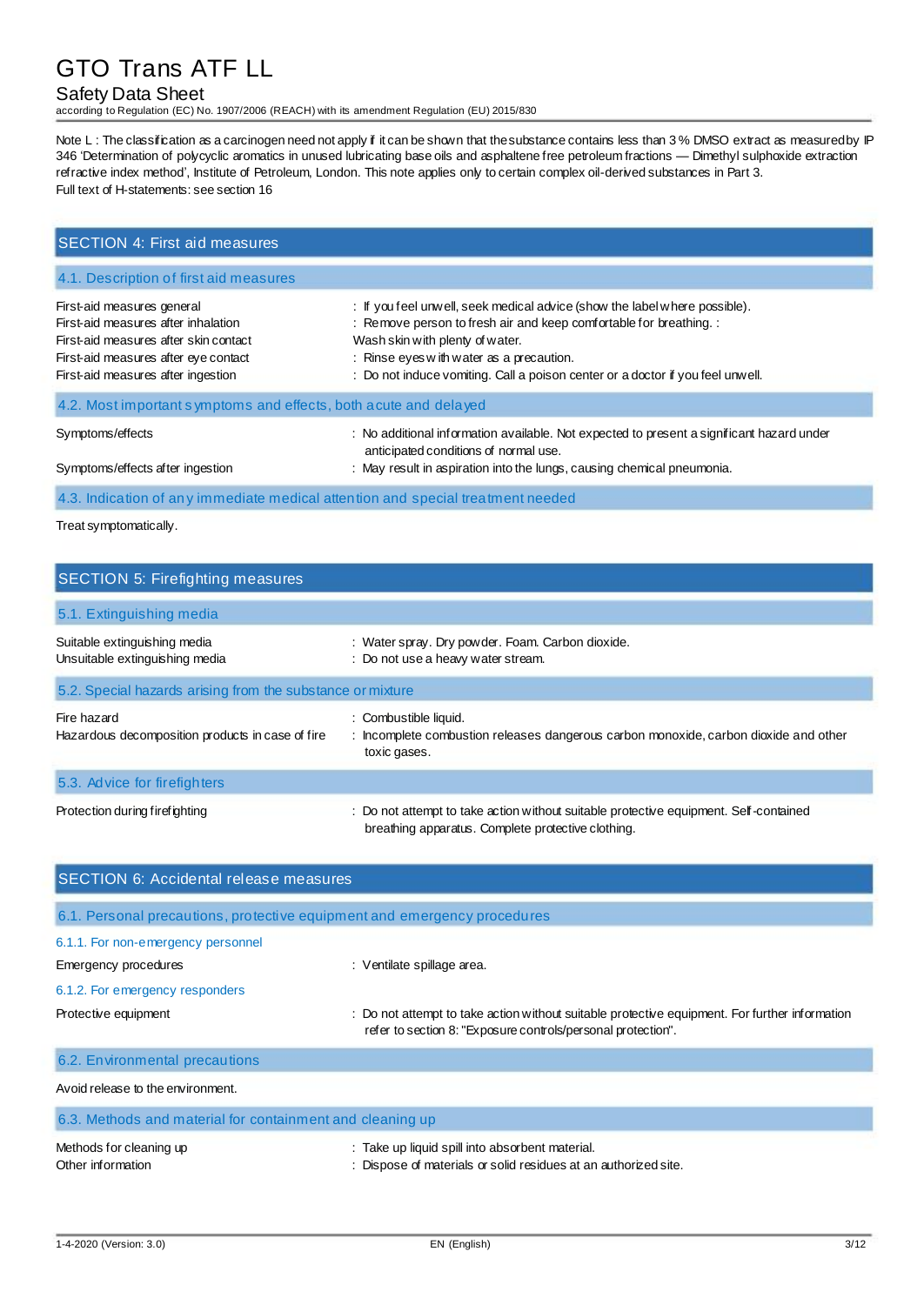### Safety Data Sheet

according to Regulation (EC) No. 1907/2006 (REACH) with its amendment Regulation (EU) 2015/830

Note L: The classification as a carcinogen need not apply if it can be shown that the substance contains less than 3% DMSO extract as measured by IP 346 'Determination of polycyclic aromatics in unused lubricating base oils and asphaltene free petroleum fractions — Dimethyl sulphoxide extraction refractive index method', Institute of Petroleum, London. This note applies only to certain complex oil-derived substances in Part 3. Full text of H-statements: see section 16

| <b>SECTION 4: First aid measures</b>                                                                                                                                                     |                                                                                                                                                                                                                                                                                                                   |  |  |
|------------------------------------------------------------------------------------------------------------------------------------------------------------------------------------------|-------------------------------------------------------------------------------------------------------------------------------------------------------------------------------------------------------------------------------------------------------------------------------------------------------------------|--|--|
| 4.1. Description of first aid measures                                                                                                                                                   |                                                                                                                                                                                                                                                                                                                   |  |  |
| First-aid measures general<br>First-aid measures after inhalation<br>First-aid measures after skin contact<br>First-aid measures after eye contact<br>First-aid measures after ingestion | : If you feel unwell, seek medical advice (show the label where possible).<br>: Remove person to fresh air and keep comfortable for breathing. :<br>Wash skin with plenty of water.<br>: Rinse eyes with water as a precaution.<br>: Do not induce vomiting. Call a poison center or a doctor if you feel unwell. |  |  |
| 4.2. Most important symptoms and effects, both acute and delayed                                                                                                                         |                                                                                                                                                                                                                                                                                                                   |  |  |
| Symptoms/effects<br>Symptoms/effects after ingestion                                                                                                                                     | : No additional information available. Not expected to present a significant hazard under<br>anticipated conditions of normal use.<br>: May result in aspiration into the lungs, causing chemical pneumonia.                                                                                                      |  |  |
| <b>Sales Contract Contract</b>                                                                                                                                                           |                                                                                                                                                                                                                                                                                                                   |  |  |

4.3. Indication of any immediate medical attention and special treatment needed

Treat symptomatically.

| <b>SECTION 5: Firefighting measures</b>                         |                                                                                                                                             |  |  |
|-----------------------------------------------------------------|---------------------------------------------------------------------------------------------------------------------------------------------|--|--|
| 5.1. Extinguishing media                                        |                                                                                                                                             |  |  |
| Suitable extinguishing media<br>Unsuitable extinguishing media  | : Water spray. Dry powder. Foam. Carbon dioxide.<br>: Do not use a heavy water stream.                                                      |  |  |
| 5.2. Special hazards arising from the substance or mixture      |                                                                                                                                             |  |  |
| Fire hazard<br>Hazardous decomposition products in case of fire | : Combustible liquid.<br>: Incomplete combustion releases dangerous carbon monoxide, carbon dioxide and other<br>toxic gases.               |  |  |
| 5.3. Advice for firefighters                                    |                                                                                                                                             |  |  |
| Protection during firefighting                                  | : Do not attempt to take action without suitable protective equipment. Self-contained<br>breathing apparatus. Complete protective clothing. |  |  |

| <b>SECTION 6: Accidental release measures</b>                            |                                                                                                                                                                |  |  |
|--------------------------------------------------------------------------|----------------------------------------------------------------------------------------------------------------------------------------------------------------|--|--|
| 6.1. Personal precautions, protective equipment and emergency procedures |                                                                                                                                                                |  |  |
| 6.1.1. For non-emergency personnel                                       |                                                                                                                                                                |  |  |
| Emergency procedures                                                     | : Ventilate spillage area.                                                                                                                                     |  |  |
| 6.1.2. For emergency responders                                          |                                                                                                                                                                |  |  |
| Protective equipment                                                     | : Do not attempt to take action without suitable protective equipment. For further information<br>refer to section 8: "Exposure controls/personal protection". |  |  |
| 6.2. Environmental precautions                                           |                                                                                                                                                                |  |  |
| Avoid release to the environment.                                        |                                                                                                                                                                |  |  |
| 6.3. Methods and material for containment and cleaning up                |                                                                                                                                                                |  |  |
| Methods for cleaning up<br>Other information                             | : Take up liquid spill into absorbent material.<br>: Dispose of materials or solid residues at an authorized site.                                             |  |  |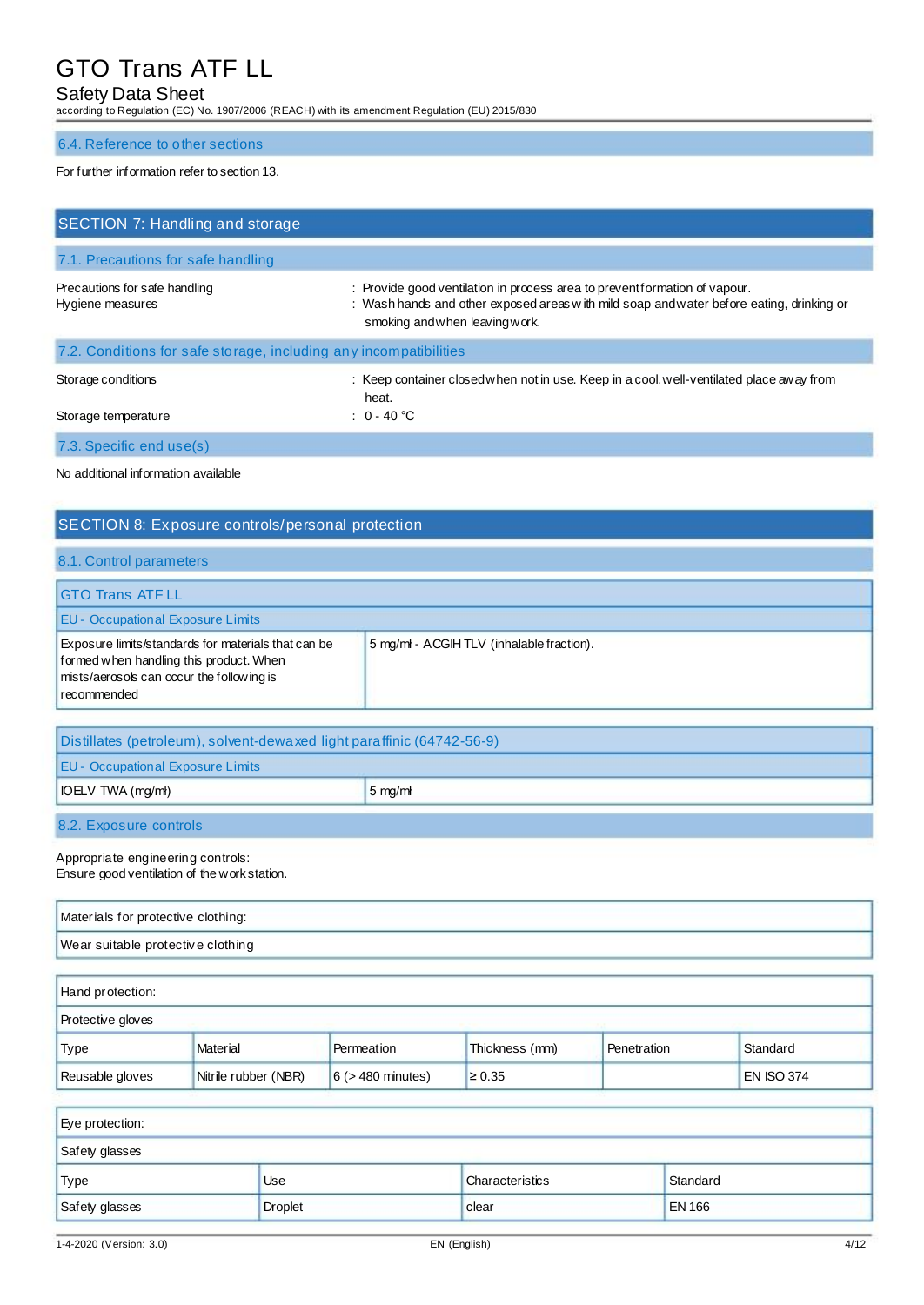## Safety Data Sheet

according to Regulation (EC) No. 1907/2006 (REACH) with its amendment Regulation (EU) 2015/830

#### 6.4. Reference to other sections

#### For further information refer to section 13.

| SECTION 7: Handling and storage                                   |                                                                                                                                                                                                         |  |  |
|-------------------------------------------------------------------|---------------------------------------------------------------------------------------------------------------------------------------------------------------------------------------------------------|--|--|
| 7.1. Precautions for safe handling                                |                                                                                                                                                                                                         |  |  |
| Precautions for safe handling<br>Hygiene measures                 | : Provide good ventilation in process area to preventformation of vapour.<br>: Wash hands and other exposed areas with mild soap and water before eating, drinking or<br>smoking and when leaving work. |  |  |
| 7.2. Conditions for safe storage, including any incompatibilities |                                                                                                                                                                                                         |  |  |
| Storage conditions<br>Storage temperature                         | : Keep container closed when not in use. Keep in a cool, well-ventilated place away from<br>heat.<br>: $0 - 40$ °C                                                                                      |  |  |
| 7.3. Specific end use(s)                                          |                                                                                                                                                                                                         |  |  |

No additional information available

## SECTION 8: Exposure controls/personal protection

#### 8.1. Control parameters

| <b>IGTO Trans ATF LL</b>                                                                                                                                   |                                          |
|------------------------------------------------------------------------------------------------------------------------------------------------------------|------------------------------------------|
| <b>EU - Occupational Exposure Limits</b>                                                                                                                   |                                          |
| Exposure limits/standards for materials that can be<br>formed when handling this product. When<br>mists/aerosols can occur the following is<br>recommended | 5 mg/ml - ACGIHTLV (inhalable fraction). |

| Distillates (petroleum), solvent-dewaxed light paraffinic (64742-56-9) |                  |  |
|------------------------------------------------------------------------|------------------|--|
| <b>EU - Occupational Exposure Limits</b>                               |                  |  |
| <b>IOELV TWA (mg/ml)</b>                                               | $5 \text{ mg/m}$ |  |
| 8.2. Exposure controls                                                 |                  |  |

## Appropriate engineering controls:

Ensure good ventilation of the work station.

| Materials for protective clothing: |  |
|------------------------------------|--|
| Wear suitable protective clothing  |  |
|                                    |  |

| Hand protection:         |                      |                        |                |             |                   |
|--------------------------|----------------------|------------------------|----------------|-------------|-------------------|
| <b>Protective gloves</b> |                      |                        |                |             |                   |
| 'Type                    | Material             | Permeation             | Thickness (mm) | Penetration | Standard          |
| Reusable gloves          | Nitrile rubber (NBR) | $6$ ( $>$ 480 minutes) | $\geq 0.35$    |             | <b>EN ISO 374</b> |

| Eye protection: |                |                 |               |
|-----------------|----------------|-----------------|---------------|
| Safety glasses  |                |                 |               |
| <b>Type</b>     | Use            | Characteristics | Standard      |
| Safety glasses  | <b>Droplet</b> | clear           | <b>EN 166</b> |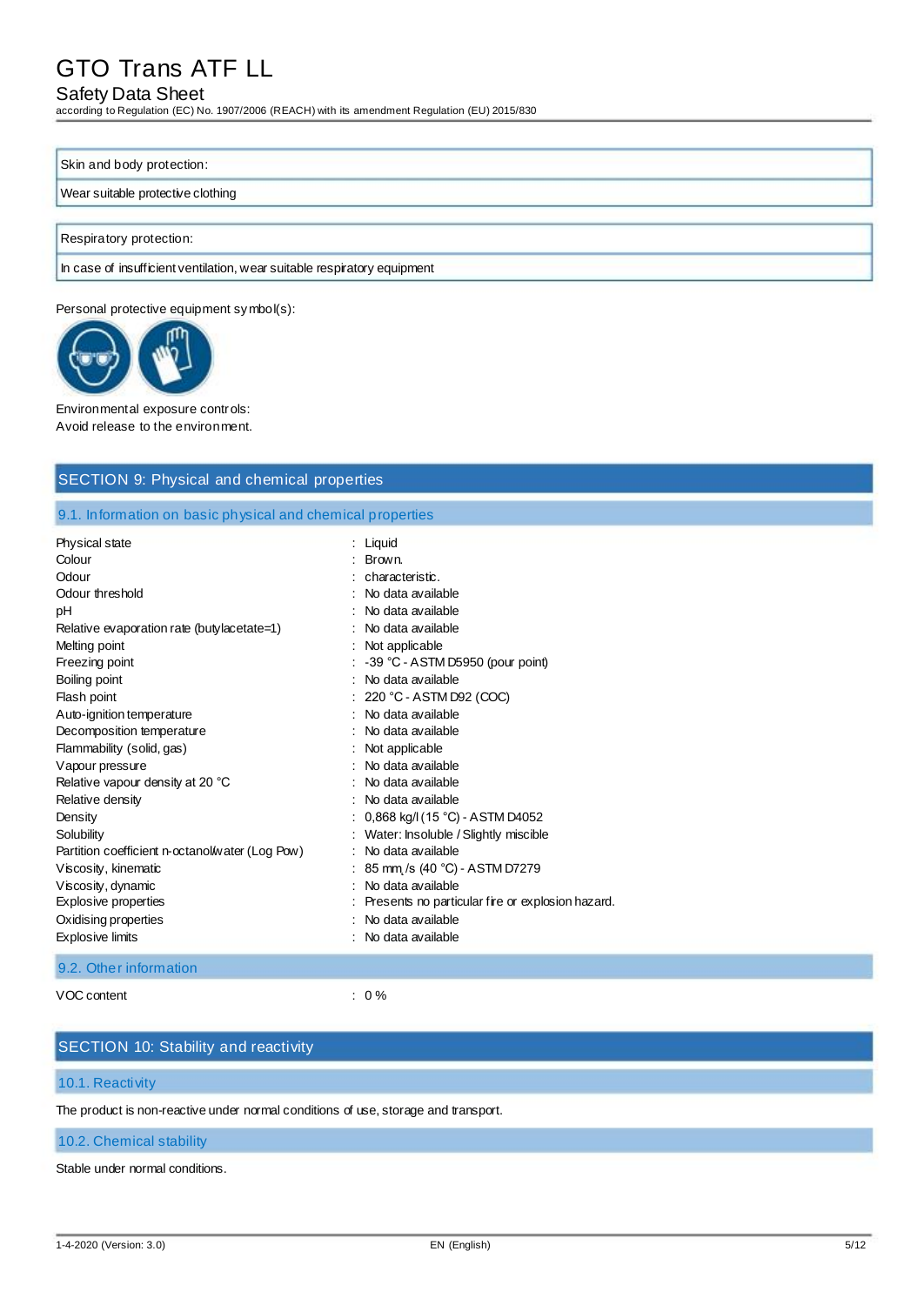### Safety Data Sheet

according to Regulation (EC) No. 1907/2006 (REACH) with its amendment Regulation (EU) 2015/830

#### Skin and body protection:

#### Wear suitable protective clothing

Respiratory protection:

In case of insufficient ventilation, wear suitable respiratory equipment

Personal protective equipment symbol(s):



Environmental exposure controls: Avoid release to the environment.

#### SECTION 9: Physical and chemical properties

9.1. Information on basic physical and chemical properties

| Physical state                                  | : Liguid                                         |
|-------------------------------------------------|--------------------------------------------------|
| Colour                                          | : Brown.                                         |
| Odour                                           | : characteristic.                                |
| Odour threshold                                 | No data available                                |
| рH                                              | No data available                                |
| Relative evaporation rate (butylacetate=1)      | : No data available                              |
| Melting point                                   | Not applicable                                   |
| Freezing point                                  | $\therefore$ -39 °C - ASTM D5950 (pour point)    |
| Boiling point                                   | No data available                                |
| Flash point                                     | $: 220 °C - ASTM D92 (COC)$                      |
| Auto-ignition temperature                       | No data available                                |
| Decomposition temperature                       | No data available                                |
| Flammability (solid, gas)                       | Not applicable                                   |
| Vapour pressure                                 | No data available                                |
| Relative vapour density at 20 °C                | No data available                                |
| Relative density                                | : No data available                              |
| Density                                         | 0,868 kg/l (15 °C) - ASTM D4052                  |
| Solubility                                      | Water: Insoluble / Slightly miscible             |
| Partition coefficient n-octanol/water (Log Pow) | No data available                                |
| Viscosity, kinematic                            | 85 mm /s (40 °C) - ASTM D7279                    |
| Viscosity, dynamic                              | No data available                                |
| <b>Explosive properties</b>                     | Presents no particular fire or explosion hazard. |
| Oxidising properties                            | No data available                                |
| <b>Explosive limits</b>                         | No data available                                |

### 9.2. Other information

VOC content : 0 %

### SECTION 10: Stability and reactivity

#### 10.1. Reactivity

The product is non-reactive under normal conditions of use, storage and transport.

#### 10.2. Chemical stability

Stable under normal conditions.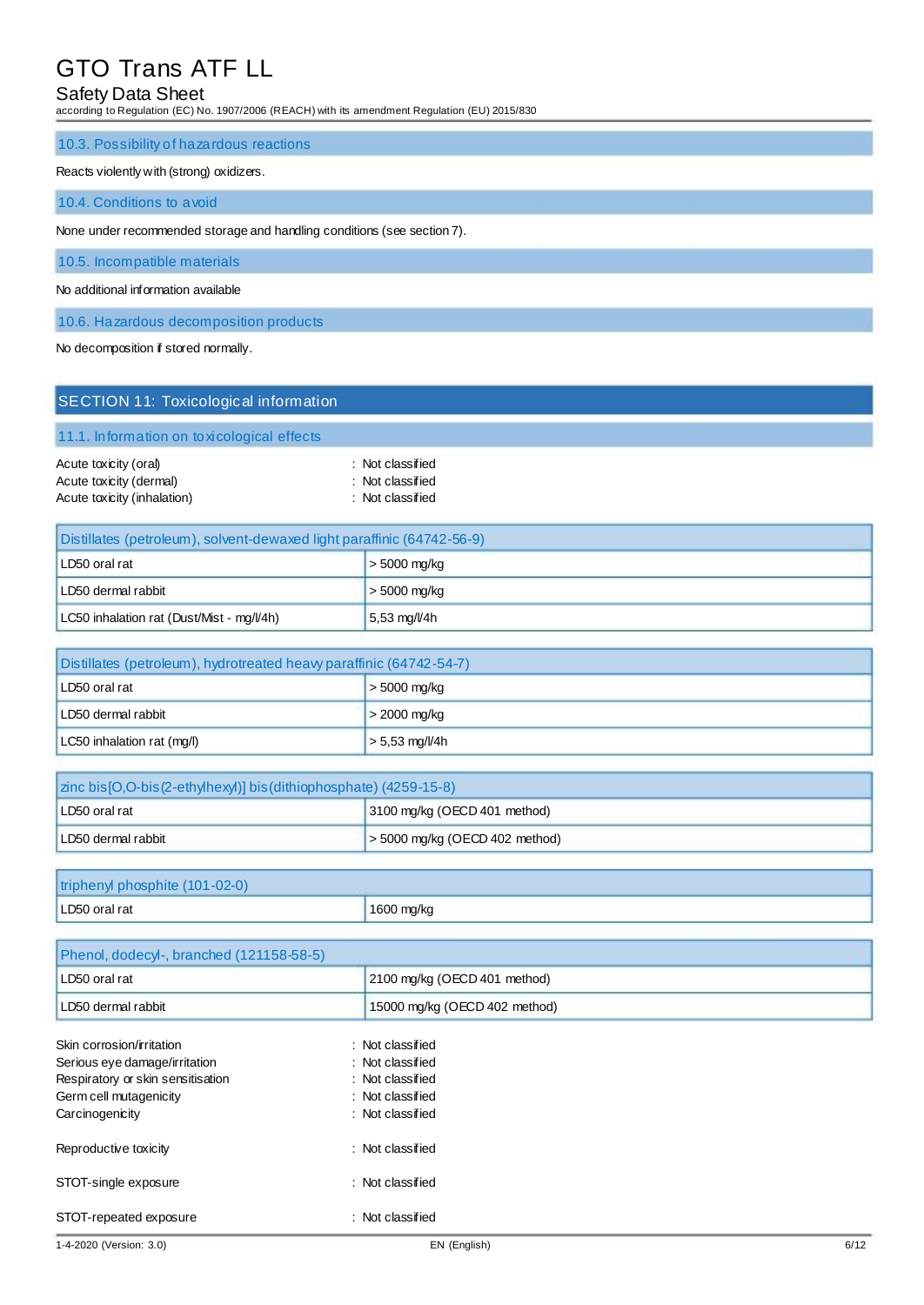### Safety Data Sheet

according to Regulation (EC) No. 1907/2006 (REACH) with its amendment Regulation (EU) 2015/830

#### 10.3. Possibility of hazardous reactions

#### Reacts violently with (strong) oxidizers.

10.4. Conditions to avoid

None under recommended storage and handling conditions (see section 7).

10.5. Incompatible materials

No additional information available

10.6. Hazardous decomposition products

No decomposition if stored normally.

| <b>SECTION 11: Toxicological information</b>                                    |                                                          |
|---------------------------------------------------------------------------------|----------------------------------------------------------|
| 11.1. Information on toxicological effects                                      |                                                          |
| Acute toxicity (oral)<br>Acute toxicity (dermal)<br>Acute toxicity (inhalation) | : Not classified<br>: Not classified<br>: Not classified |

| Distillates (petroleum), solvent-dewaxed light paraffinic (64742-56-9) |                |
|------------------------------------------------------------------------|----------------|
| LD50 oral rat                                                          | $>$ 5000 mg/kg |
| LD50 dermal rabbit                                                     | $>$ 5000 mg/kg |
| LC50 inhalation rat (Dust/Mist - mg/l/4h)                              | 5,53 mg/l/4h   |

| Distillates (petroleum), hydrotreated heavy paraffinic (64742-54-7) |                  |  |
|---------------------------------------------------------------------|------------------|--|
| LD50 oral rat                                                       | $>$ 5000 mg/kg   |  |
| LD50 dermal rabbit                                                  | $>$ 2000 mg/kg   |  |
| LC50 inhalation rat (mg/l)                                          | $> 5.53$ mg/l/4h |  |

| zinc bis [O,O-bis (2-ethylhexyl)] bis (dithiophosphate) (4259-15-8) |                                     |  |
|---------------------------------------------------------------------|-------------------------------------|--|
| LD50 oral rat                                                       | 3100 mg/kg (OECD 401 method)        |  |
| LD50 dermal rabbit                                                  | $\geq$ 5000 mg/kg (OECD 402 method) |  |

| triphenyl phosphite (101-02-0) |            |
|--------------------------------|------------|
| LD50 oral rat                  | 1600 mg/kg |

| Phenol, dodecyl-, branched (121158-58-5) |                               |  |
|------------------------------------------|-------------------------------|--|
| LD50 oral rat                            | 2100 mg/kg (OECD 401 method)  |  |
| LD50 dermal rabbit                       | 15000 mg/kg (OECD 402 method) |  |
| Skin corrosion/irritation                | : Not classified              |  |
| Serious eye damage/irritation            | : Not classified              |  |
| Respiratory or skin sensitisation        | : Not classified              |  |
| Germ cell mutagenicity                   | : Not classified              |  |
| Carcinogenicity                          | : Not classified              |  |
| Reproductive toxicity                    | : Not classified              |  |
| STOT-single exposure                     | : Not classified              |  |
| STOT-repeated exposure                   | : Not classified              |  |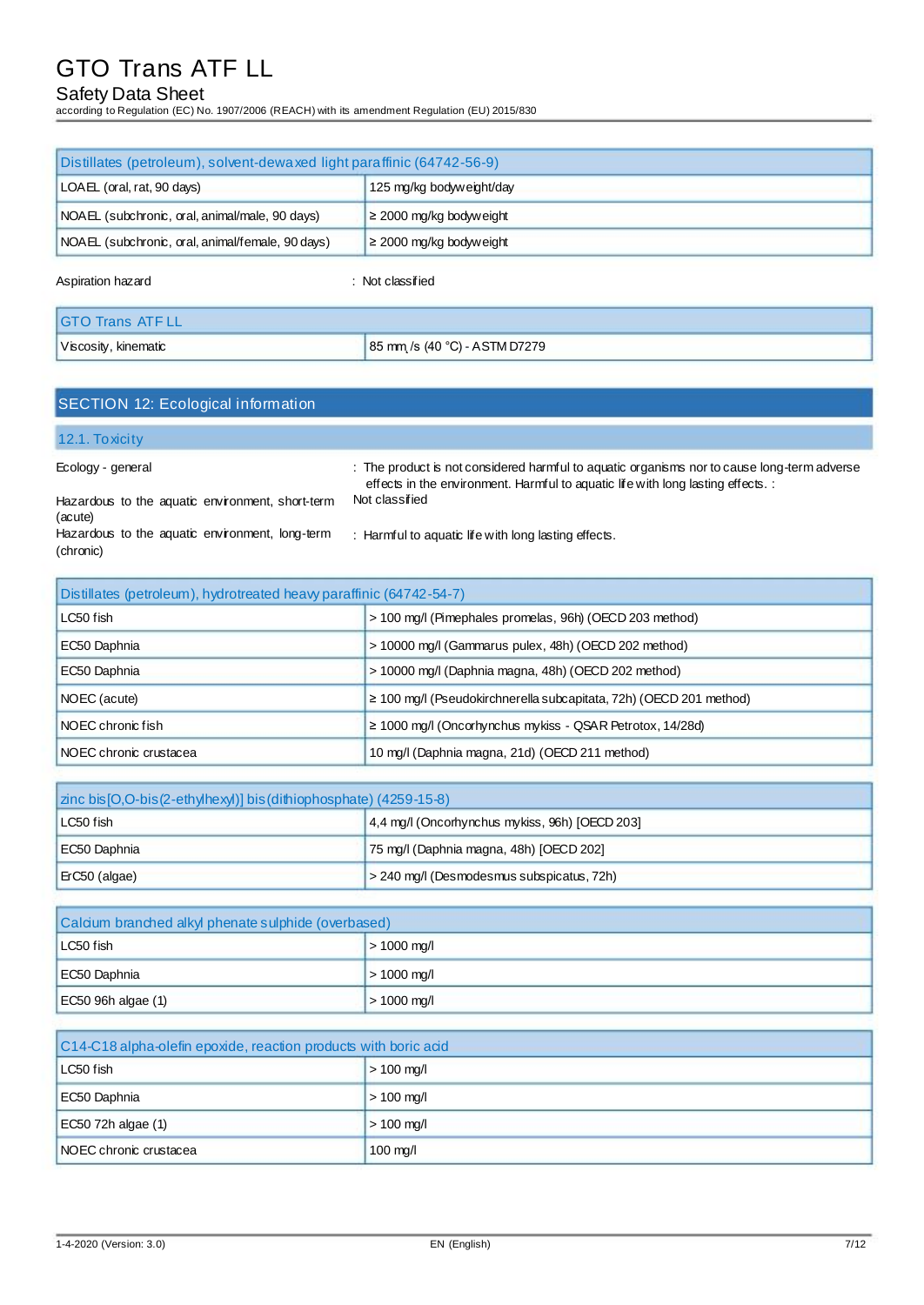## Safety Data Sheet

according to Regulation (EC) No. 1907/2006 (REACH) with its amendment Regulation (EU) 2015/830

| Distillates (petroleum), solvent-dewaxed light paraffinic (64742-56-9) |                              |  |
|------------------------------------------------------------------------|------------------------------|--|
| LOAEL (oral, rat, 90 days)                                             | 125 mg/kg bodyweight/day     |  |
| NOAEL (subchronic, oral, animal/male, 90 days)                         | $\geq$ 2000 mg/kg bodyweight |  |
| NOAEL (subchronic, oral, animal/female, 90 days)                       | $\geq$ 2000 mg/kg bodyweight |  |

Aspiration hazard is a set of the set of the set of the set of the set of the set of the set of the set of the

| <b>IGTO Trans ATF LL</b> |                               |
|--------------------------|-------------------------------|
| Viscosity, kinematic     | 85 mm /s (40 °C) - ASTM D7279 |

## SECTION 12: Ecological information

#### 12.1. Toxicity

Ecology - general

: The product is not considered harmful to aquatic organisms nor to cause long-term adverse effects in the environment. Harmful to aquatic life with long lasting effects. : Not classified

Hazardous to the aquatic environment, short-term (acute) Hazardous to the aquatic environment, long-term (chronic)

: Harmful to aquatic life with long lasting effects.

| Distillates (petroleum), hydrotreated heavy paraffinic (64742-54-7)      |                                                                         |  |
|--------------------------------------------------------------------------|-------------------------------------------------------------------------|--|
| LC50 fish                                                                | > 100 mg/l (Pimephales promelas, 96h) (OECD 203 method)                 |  |
| EC50 Daphnia                                                             | > 10000 mg/l (Gammarus pulex, 48h) (OECD 202 method)                    |  |
| EC50 Daphnia                                                             | > 10000 mg/l (Daphnia magna, 48h) (OECD 202 method)                     |  |
| NOEC (acute)                                                             | $\geq$ 100 mg/l (Pseudokirchnerella subcapitata, 72h) (OECD 201 method) |  |
| NOEC chronic fish                                                        | $\geq$ 1000 mg/l (Oncorhynchus mykiss - QSAR Petrotox, 14/28d)          |  |
| 10 mg/l (Daphnia magna, 21d) (OECD 211 method)<br>NOEC chronic crustacea |                                                                         |  |

| zinc bis [O,O-bis (2-ethylhexyl)] bis (dithiophosphate) (4259-15-8) |                                           |
|---------------------------------------------------------------------|-------------------------------------------|
| 4,4 mg/l (Oncorhynchus mykiss, 96h) [OECD 203]<br>LC50 fish         |                                           |
| EC50 Daphnia                                                        | 75 mg/l (Daphnia magna, 48h) [OECD 202]   |
| E(C50 (alqae) )                                                     | > 240 mg/l (Desmodesmus subspicatus, 72h) |

| Calcium branched alkyl phenate sulphide (overbased) |                       |
|-----------------------------------------------------|-----------------------|
| LC50 fish                                           | $> 1000 \text{ mq/l}$ |
| EC50 Daphnia                                        | $> 1000$ mg/l         |
| $EC50$ 96h algae (1)                                | $> 1000$ mg/l         |

| C14-C18 alpha-olefin epoxide, reaction products with boric acid |              |
|-----------------------------------------------------------------|--------------|
| LC50 fish<br>$> 100 \; \text{mg/l}$                             |              |
| EC50 Daphnia                                                    | $>$ 100 mg/l |
| $EC50$ 72h algae (1)                                            | $> 100$ mg/l |
| <b>NOEC</b> chronic crustacea                                   | $100$ mg/l   |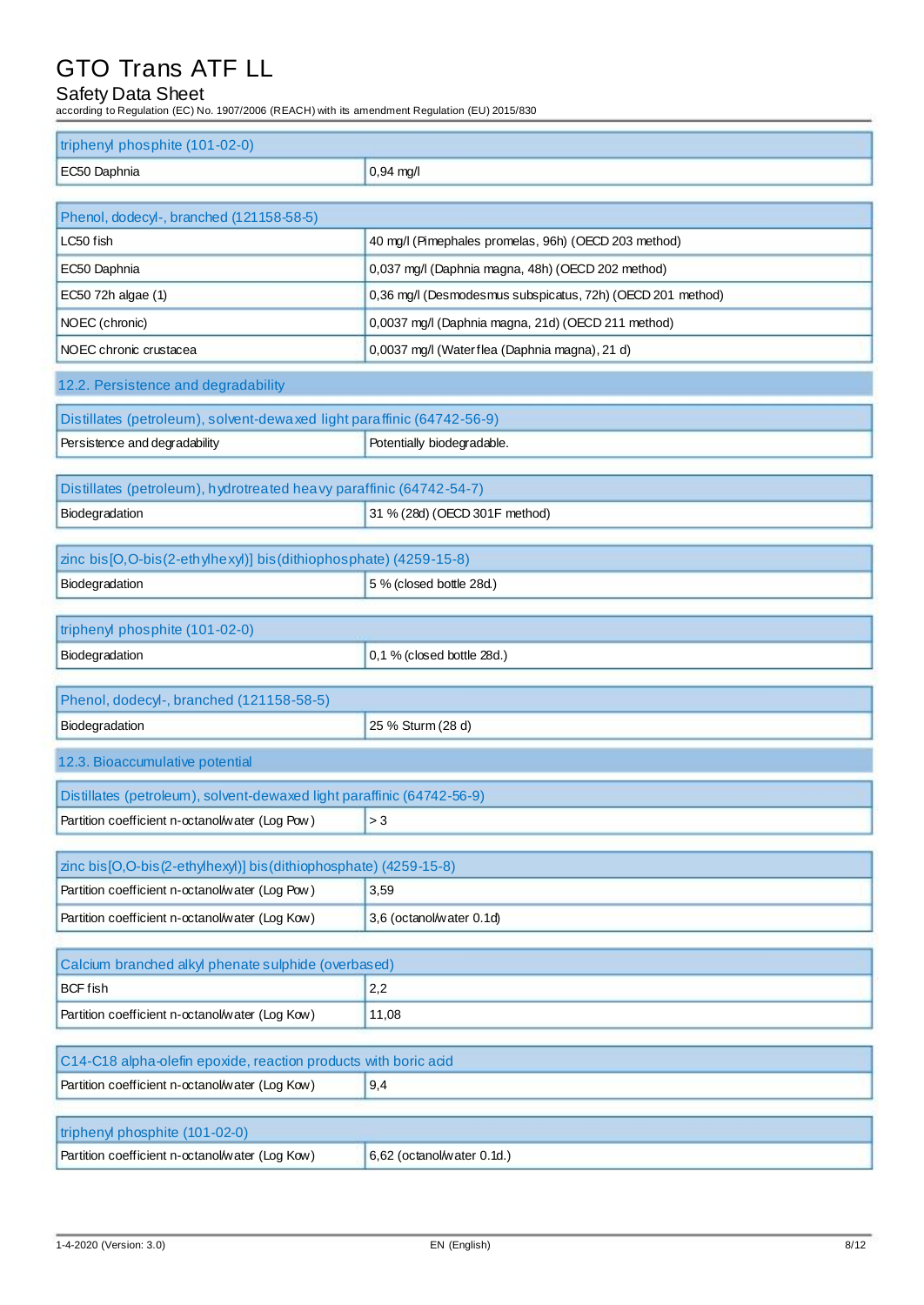## Safety Data Sheet

| according to Regulation (EC) No. 1907/2006 (REACH) with its amendment Regulation (EU) 2015/830 |                                                            |  |
|------------------------------------------------------------------------------------------------|------------------------------------------------------------|--|
| triphenyl phosphite (101-02-0)                                                                 |                                                            |  |
| EC50 Daphnia                                                                                   | 0,94 mg/l                                                  |  |
|                                                                                                |                                                            |  |
| Phenol, dodecyl-, branched (121158-58-5)                                                       |                                                            |  |
| LC50 fish                                                                                      | 40 mg/l (Pimephales promelas, 96h) (OECD 203 method)       |  |
| EC50 Daphnia                                                                                   | 0,037 mg/l (Daphnia magna, 48h) (OECD 202 method)          |  |
| EC50 72h algae (1)                                                                             | 0,36 mg/l (Desmodesmus subspicatus, 72h) (OECD 201 method) |  |
| NOEC (chronic)                                                                                 | 0,0037 mg/l (Daphnia magna, 21d) (OECD 211 method)         |  |
| NOEC chronic crustacea                                                                         | 0,0037 mg/l (Waterflea (Daphnia magna), 21 d)              |  |
| 12.2. Persistence and degradability                                                            |                                                            |  |
| Distillates (petroleum), solvent-dewaxed light paraffinic (64742-56-9)                         |                                                            |  |
| Persistence and degradability                                                                  | Potentially biodegradable.                                 |  |
|                                                                                                |                                                            |  |
| Distillates (petroleum), hydrotreated heavy paraffinic (64742-54-7)                            |                                                            |  |
| Biodegradation                                                                                 | 31 % (28d) (OECD 301F method)                              |  |
| zinc bis[O,O-bis(2-ethylhexyl)] bis(dithiophosphate) (4259-15-8)                               |                                                            |  |
| Biodegradation                                                                                 | 5 % (closed bottle 28d.)                                   |  |
|                                                                                                |                                                            |  |
| triphenyl phosphite (101-02-0)                                                                 |                                                            |  |
| Biodegradation                                                                                 | 0,1 % (closed bottle 28d.)                                 |  |
|                                                                                                |                                                            |  |
| Phenol, dodecyl-, branched (121158-58-5)                                                       |                                                            |  |
| Biodegradation                                                                                 | 25 % Sturm (28 d)                                          |  |
| 12.3. Bioaccumulative potential                                                                |                                                            |  |
| Distillates (petroleum), solvent-dewaxed light paraffinic (64742-56-9)                         |                                                            |  |
| Partition coefficient n-octanol/water (Log Pow)                                                | >3                                                         |  |
|                                                                                                |                                                            |  |
| zinc bis [O,O-bis (2-ethylhexyl)] bis (dithiophosphate) (4259-15-8)                            |                                                            |  |
| Partition coefficient n-octanol/water (Log Pow)                                                | 3,59                                                       |  |
| Partition coefficient n-octanol/water (Log Kow)                                                | 3,6 (octanol/water 0.1d)                                   |  |
| Calcium branched alkyl phenate sulphide (overbased)                                            |                                                            |  |
| <b>BCF</b> fish                                                                                | 2,2                                                        |  |
| Partition coefficient n-octanol/water (Log Kow)                                                | 11,08                                                      |  |
|                                                                                                |                                                            |  |
| C14-C18 alpha-olefin epoxide, reaction products with boric acid                                |                                                            |  |
| Partition coefficient n-octanol/water (Log Kow)                                                | 9,4                                                        |  |

| triphenyl phosphite (101-02-0)                  |                              |
|-------------------------------------------------|------------------------------|
| Partition coefficient n-octanol/water (Log Kow) | $6,62$ (octanol/water 0.1d.) |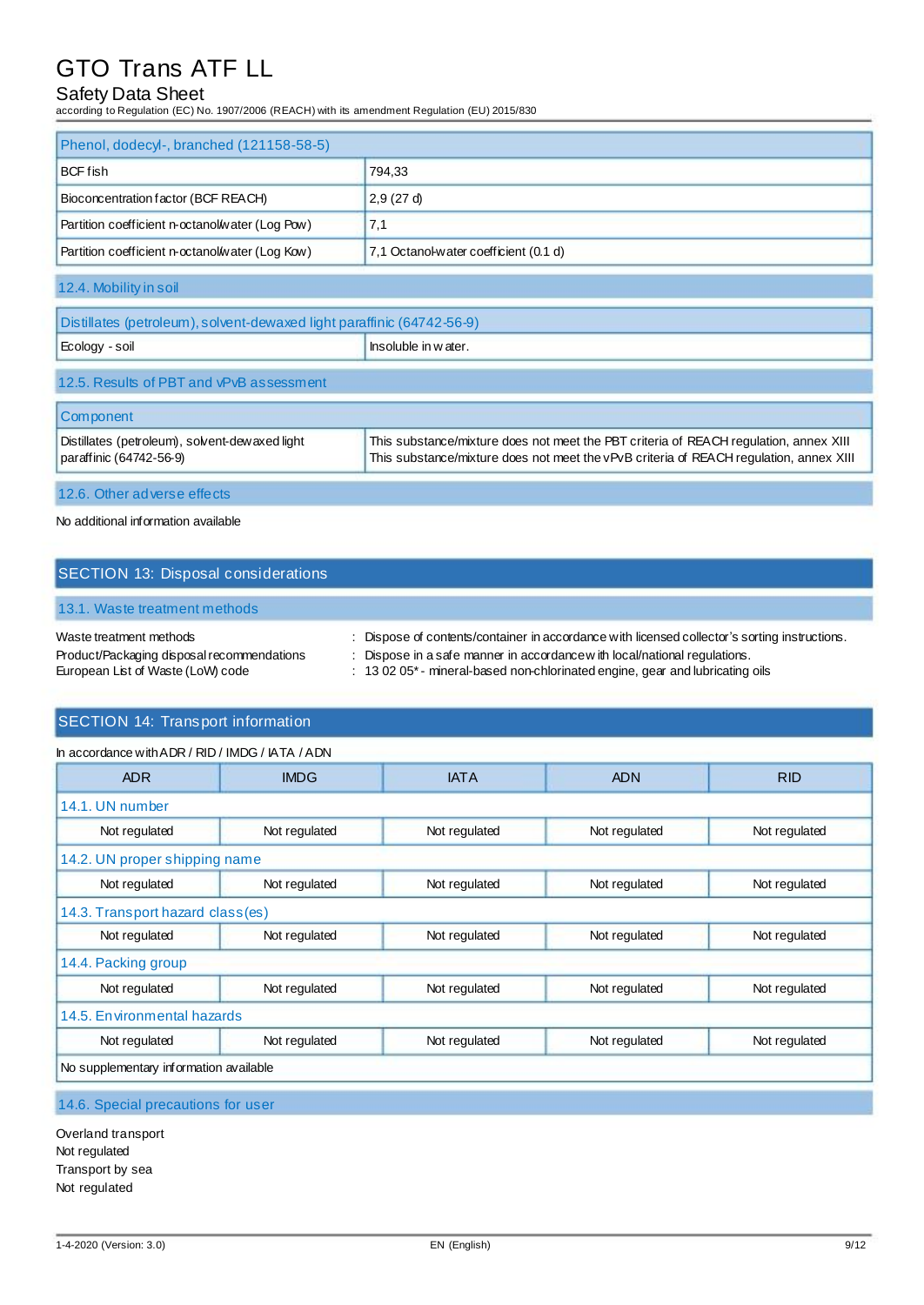## Safety Data Sheet

according to Regulation (EC) No. 1907/2006 (REACH) with its amendment Regulation (EU) 2015/830

| Phenol, dodecyl-, branched (121158-58-5)        |                                       |
|-------------------------------------------------|---------------------------------------|
| <b>BCF</b> fish<br>794.33                       |                                       |
| Bioconcentration factor (BCF REACH)             | 2.9(27d)                              |
| Partition coefficient n-octanol/water (Log Pow) | 7.1                                   |
| Partition coefficient n-octanol/water (Log Kow) | 7,1 Octanol-water coefficient (0.1 d) |

12.4. Mobility in soil

| Distillates (petroleum), solvent-dewaxed light paraffinic (64742-56-9) |                       |
|------------------------------------------------------------------------|-----------------------|
| Ecology - soil                                                         | l Insoluble in water. |
| 12.5. Results of PBT and vPvB assessment                               |                       |

| <b>Component</b>                                |                                                                                        |
|-------------------------------------------------|----------------------------------------------------------------------------------------|
| Distillates (petroleum), solvent-dew axed light | This substance/mixture does not meet the PBT criteria of REACH regulation, annex XIII  |
| paraffinic (64742-56-9)                         | This substance/mixture does not meet the vPvB criteria of REACH regulation, annex XIII |

12.6. Other adverse effects

#### No additional information available

## SECTION 13: Disposal considerations

### 13.1. Waste treatment methods

| Waste treatment methods                    | Dispose of contents/container in accordance with licensed collector's sorting instructions. |
|--------------------------------------------|---------------------------------------------------------------------------------------------|
| Product/Packaging disposal recommendations | : Dispose in a safe manner in accordance with local/national regulations.                   |
| European List of Waste (LoW) code          | $\pm$ 13 02 05 $^*$ - mineral-based non-chlorinated engine, gear and lubricating oils       |

### SECTION 14: Transport information

| In accordance with ADR / RID / IMDG / IATA / ADN |               |               |               |               |
|--------------------------------------------------|---------------|---------------|---------------|---------------|
| <b>ADR</b>                                       | <b>IMDG</b>   | <b>IATA</b>   | <b>ADN</b>    | <b>RID</b>    |
| 14.1. UN number                                  |               |               |               |               |
| Not regulated                                    | Not regulated | Not regulated | Not regulated | Not regulated |
| 14.2. UN proper shipping name                    |               |               |               |               |
| Not regulated                                    | Not regulated | Not regulated | Not regulated | Not regulated |
| 14.3. Transport hazard class(es)                 |               |               |               |               |
| Not regulated                                    | Not regulated | Not regulated | Not regulated | Not regulated |
| 14.4. Packing group                              |               |               |               |               |
| Not regulated                                    | Not regulated | Not regulated | Not regulated | Not regulated |
| 14.5. Environmental hazards                      |               |               |               |               |
| Not regulated                                    | Not regulated | Not regulated | Not regulated | Not regulated |
| No supplementary information available           |               |               |               |               |
|                                                  |               |               |               |               |

14.6. Special precautions for user

Overland transport Not regulated Transport by sea Not regulated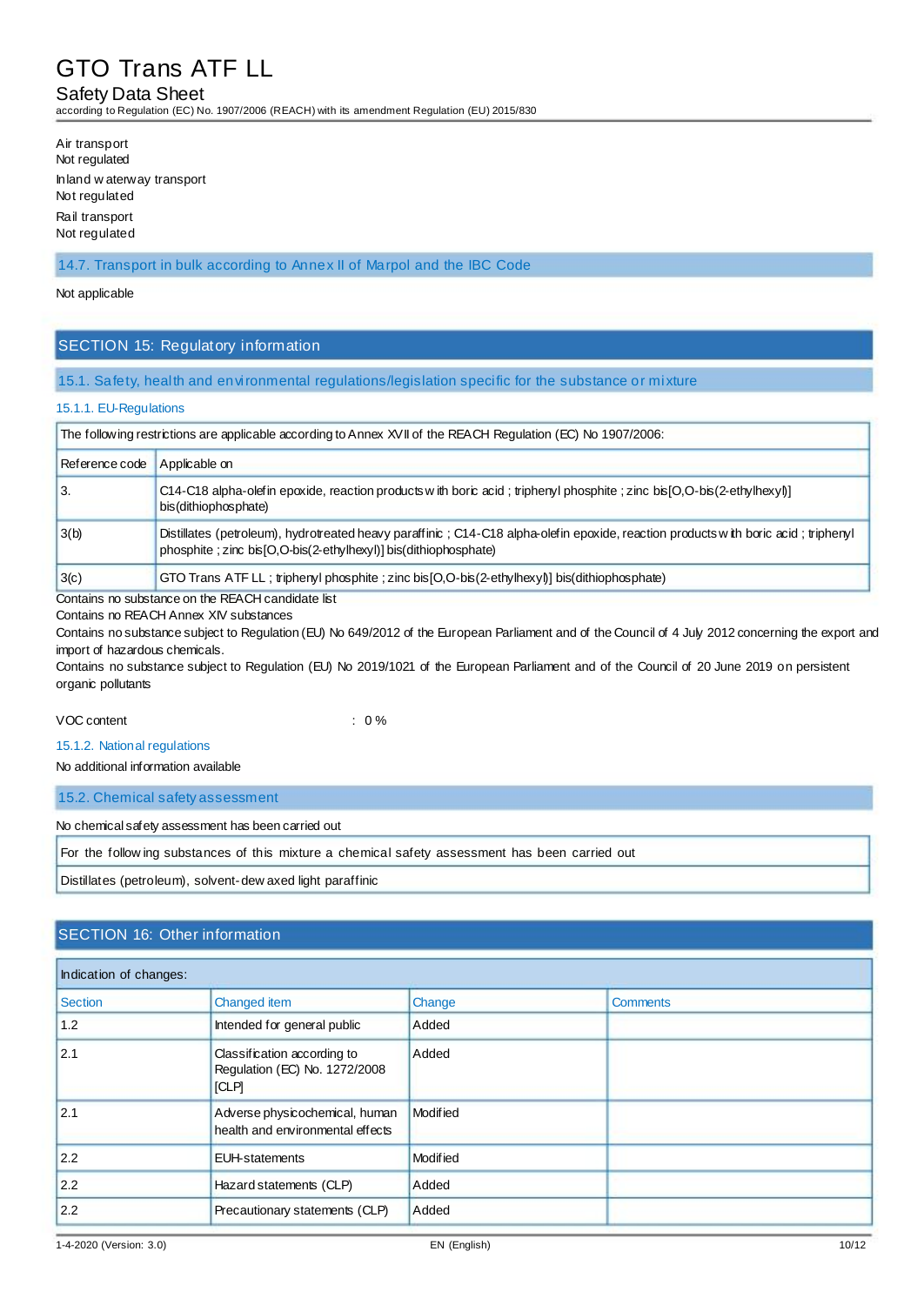#### Safety Data Sheet

according to Regulation (EC) No. 1907/2006 (REACH) with its amendment Regulation (EU) 2015/830

| Air transport                               |  |
|---------------------------------------------|--|
| Not regulated                               |  |
| Inland w aterway transport<br>Not regulated |  |
| Rail transport                              |  |
| Not regulated                               |  |

#### 14.7. Transport in bulk according to Annex II of Marpol and the IBC Code

#### Not applicable

#### SECTION 15: Regulatory information

#### 15.1. Safety, health and environmental regulations/legislation specific for the substance or mixture

#### 15.1.1. EU-Regulations

| The following restrictions are applicable according to Annex XVII of the REACH Regulation (EC) No 1907/2006: |                                                                                                                                                                                                         |  |
|--------------------------------------------------------------------------------------------------------------|---------------------------------------------------------------------------------------------------------------------------------------------------------------------------------------------------------|--|
| Reference code                                                                                               | Applicable on                                                                                                                                                                                           |  |
| 3.                                                                                                           | C14-C18 alpha-olefin epoxide, reaction products with boric acid; triphenyl phosphite; zinc bis [O,O-bis (2-ethylhexyl)]<br>bis (dithiophosphate)                                                        |  |
| 3(b)                                                                                                         | Distillates (petroleum), hydrotreated heavy paraffinic; C14-C18 alpha-olefin epoxide, reaction products with boric acid; triphenyl<br>phosphite ; zinc bis [O,O-bis(2-ethylhexyl)] bis(dithiophosphate) |  |
| 3(c)                                                                                                         | GTO Trans ATF LL : triphenyl phosphite : zinc bis [O,O-bis (2-ethylhexyl)] bis (dithiophosphate)                                                                                                        |  |

Contains no substance on the REACH candidate list

Contains no REACH Annex XIV substances

Contains no substance subject to Regulation (EU) No 649/2012 of the European Parliament and of the Council of 4 July 2012 concerning the export and import of hazardous chemicals.

Contains no substance subject to Regulation (EU) No 2019/1021 of the European Parliament and of the Council of 20 June 2019 on persistent organic pollutants

VOC content : 0 %

15.1.2. National regulations

No additional information available

15.2. Chemical safety assessment

No chemical safety assessment has been carried out

For the follow ing substances of this mixture a chemical safety assessment has been carried out

Distillates (petroleum), solvent-dew axed light paraffinic

### SECTION 16: Other information

| Indication of changes: |                                                                             |          |                 |  |
|------------------------|-----------------------------------------------------------------------------|----------|-----------------|--|
| <b>Section</b>         | Changed item                                                                | Change   | <b>Comments</b> |  |
| 1.2                    | Intended for general public                                                 | Added    |                 |  |
| 2.1                    | Classification according to<br>Regulation (EC) No. 1272/2008<br><b>ICLP</b> | Added    |                 |  |
| 2.1                    | Adverse physicochemical, human<br>health and environmental effects          | Modified |                 |  |
| 2.2                    | <b>EUH-statements</b>                                                       | Modified |                 |  |
| 2.2                    | Hazard statements (CLP)                                                     | Added    |                 |  |
| 2.2                    | Precautionary statements (CLP)                                              | Added    |                 |  |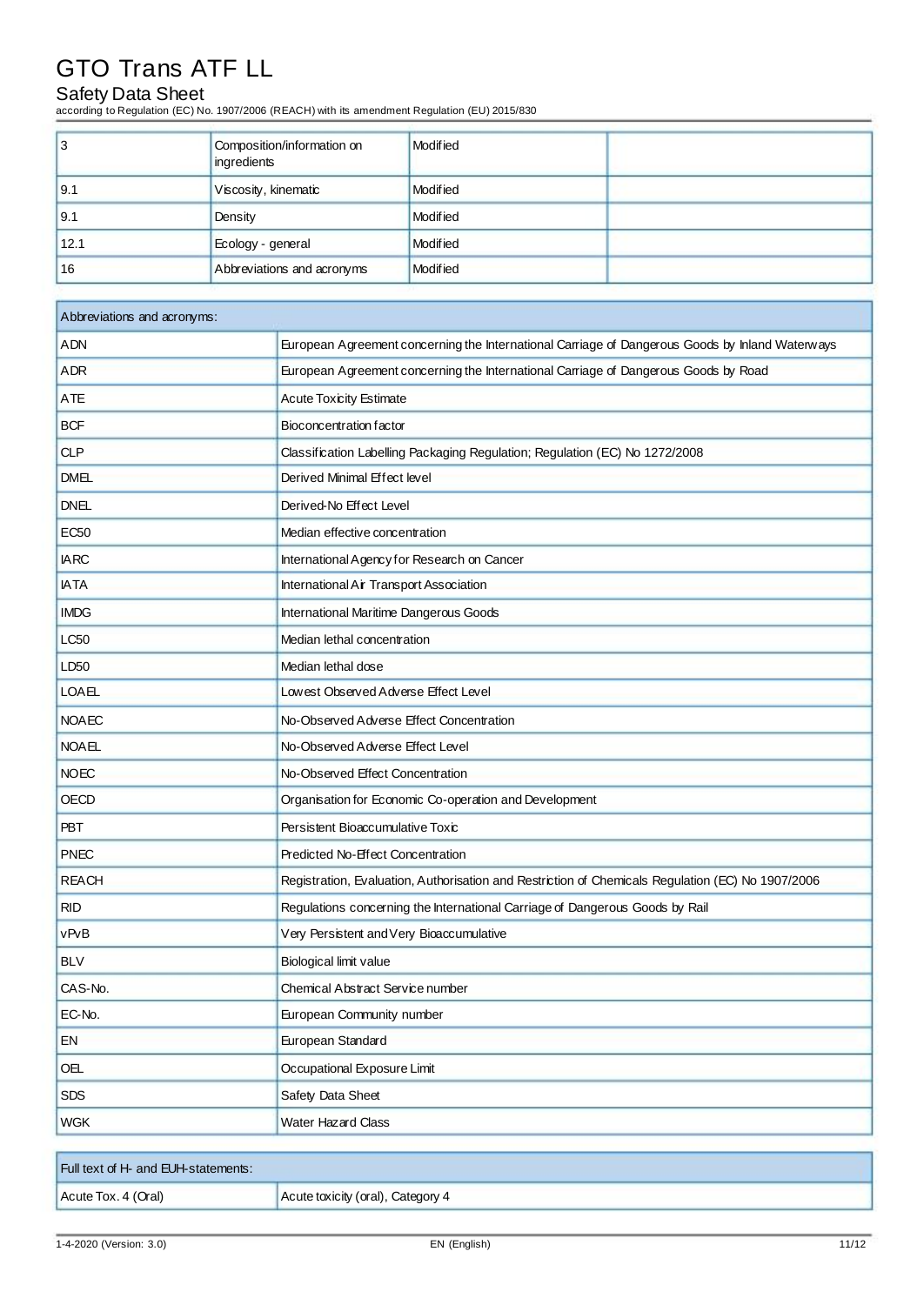## Safety Data Sheet

according to Regulation (EC) No. 1907/2006 (REACH) with its amendment Regulation (EU) 2015/830

| Ι3   | Composition/information on<br>ingredients | Modified |  |
|------|-------------------------------------------|----------|--|
| 9.1  | Viscosity, kinematic                      | Modified |  |
| 9.1  | Density                                   | Modified |  |
| 12.1 | Ecology - general                         | Modified |  |
| 16   | Abbreviations and acronyms                | Modified |  |

| Abbreviations and acronyms: |                                                                                                   |  |
|-----------------------------|---------------------------------------------------------------------------------------------------|--|
| <b>ADN</b>                  | European Agreement concerning the International Carriage of Dangerous Goods by Inland Waterways   |  |
| <b>ADR</b>                  | European Agreement concerning the International Carriage of Dangerous Goods by Road               |  |
| ATE                         | <b>Acute Toxicity Estimate</b>                                                                    |  |
| <b>BCF</b>                  | Bioconcentration factor                                                                           |  |
| <b>CLP</b>                  | Classification Labelling Packaging Regulation; Regulation (EC) No 1272/2008                       |  |
| <b>DMEL</b>                 | Derived Minimal Effect level                                                                      |  |
| <b>DNEL</b>                 | Derived-No Effect Level                                                                           |  |
| <b>EC50</b>                 | Median effective concentration                                                                    |  |
| <b>IARC</b>                 | International Agency for Research on Cancer                                                       |  |
| <b>IATA</b>                 | International Air Transport Association                                                           |  |
| <b>IMDG</b>                 | International Maritime Dangerous Goods                                                            |  |
| <b>LC50</b>                 | Median lethal concentration                                                                       |  |
| LD50                        | Median lethal dose                                                                                |  |
| <b>LOAEL</b>                | Lowest Observed Adverse Effect Level                                                              |  |
| <b>NOAEC</b>                | No-Observed Adverse Effect Concentration                                                          |  |
| <b>NOAEL</b>                | No-Observed Adverse Effect Level                                                                  |  |
| <b>NOEC</b>                 | No-Observed Effect Concentration                                                                  |  |
| <b>OECD</b>                 | Organisation for Economic Co-operation and Development                                            |  |
| <b>PBT</b>                  | Persistent Bioaccumulative Toxic                                                                  |  |
| <b>PNEC</b>                 | Predicted No-Effect Concentration                                                                 |  |
| <b>REACH</b>                | Registration, Evaluation, Authorisation and Restriction of Chemicals Regulation (EC) No 1907/2006 |  |
| <b>RID</b>                  | Regulations concerning the International Carriage of Dangerous Goods by Rail                      |  |
| vPvB                        | Very Persistent and Very Bioaccumulative                                                          |  |
| <b>BLV</b>                  | Biological limit value                                                                            |  |
| CAS-No.                     | Chemical Abstract Service number                                                                  |  |
| EC-No.                      | European Community number                                                                         |  |
| EN                          | European Standard                                                                                 |  |
| OEL                         | Occupational Exposure Limit                                                                       |  |
| <b>SDS</b>                  | Safety Data Sheet                                                                                 |  |
| <b>WGK</b>                  | <b>Water Hazard Class</b>                                                                         |  |

| Full text of H- and EUH-statements: |                                   |
|-------------------------------------|-----------------------------------|
| Acute Tox. 4 (Oral)                 | Acute toxicity (oral), Category 4 |